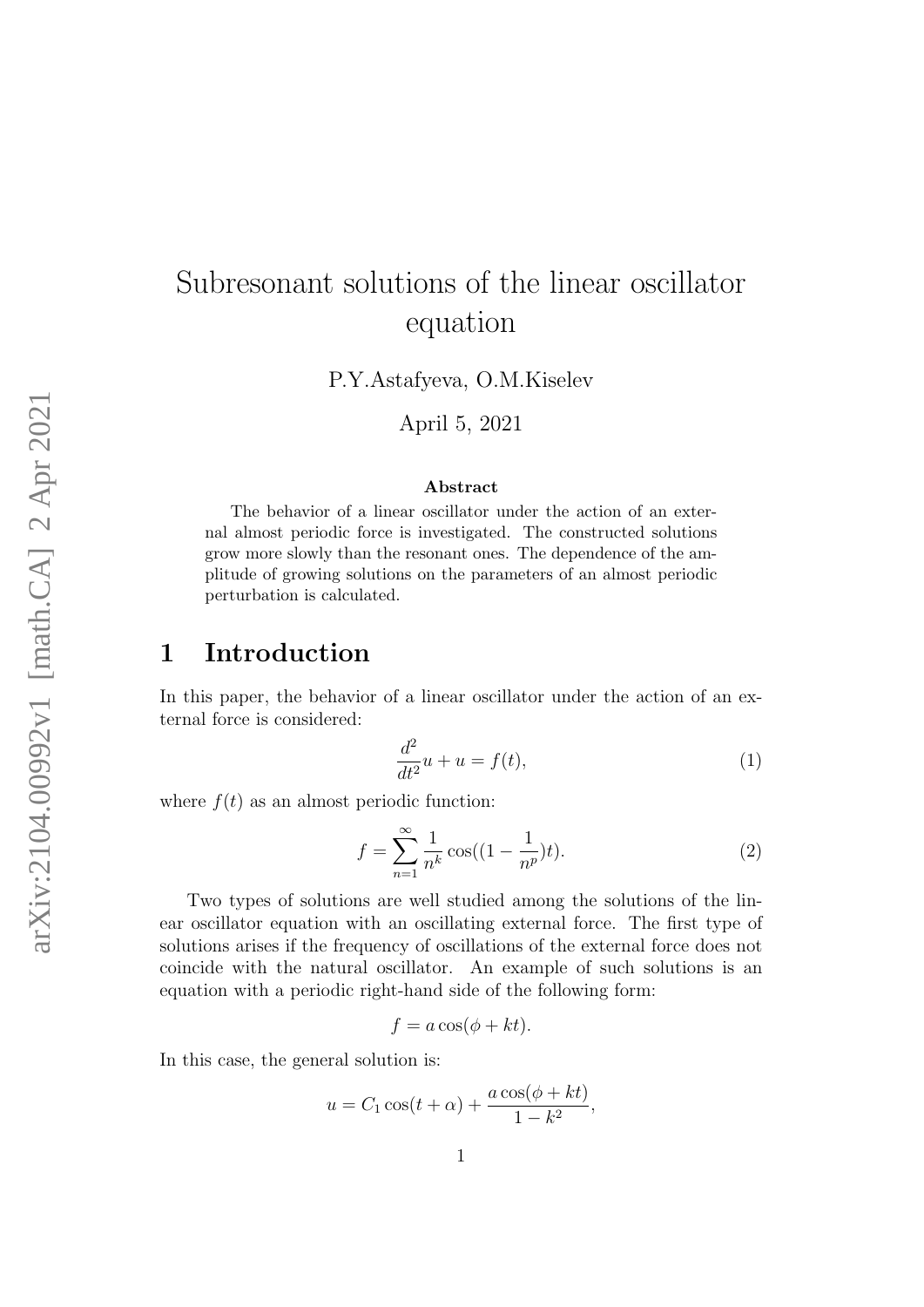# Subresonant solutions of the linear oscillator equation

P.Y.Astafyeva, O.M.Kiselev

April 5, 2021

#### Abstract

The behavior of a linear oscillator under the action of an external almost periodic force is investigated. The constructed solutions grow more slowly than the resonant ones. The dependence of the amplitude of growing solutions on the parameters of an almost periodic perturbation is calculated.

#### 1 Introduction

In this paper, the behavior of a linear oscillator under the action of an external force is considered:

<span id="page-0-0"></span>
$$
\frac{d^2}{dt^2}u + u = f(t),\tag{1}
$$

where  $f(t)$  as an almost periodic function:

<span id="page-0-1"></span>
$$
f = \sum_{n=1}^{\infty} \frac{1}{n^k} \cos((1 - \frac{1}{n^p})t).
$$
 (2)

Two types of solutions are well studied among the solutions of the linear oscillator equation with an oscillating external force. The first type of solutions arises if the frequency of oscillations of the external force does not coincide with the natural oscillator. An example of such solutions is an equation with a periodic right-hand side of the following form:

$$
f = a\cos(\phi + kt).
$$

In this case, the general solution is:

$$
u = C_1 \cos(t + \alpha) + \frac{a \cos(\phi + kt)}{1 - k^2},
$$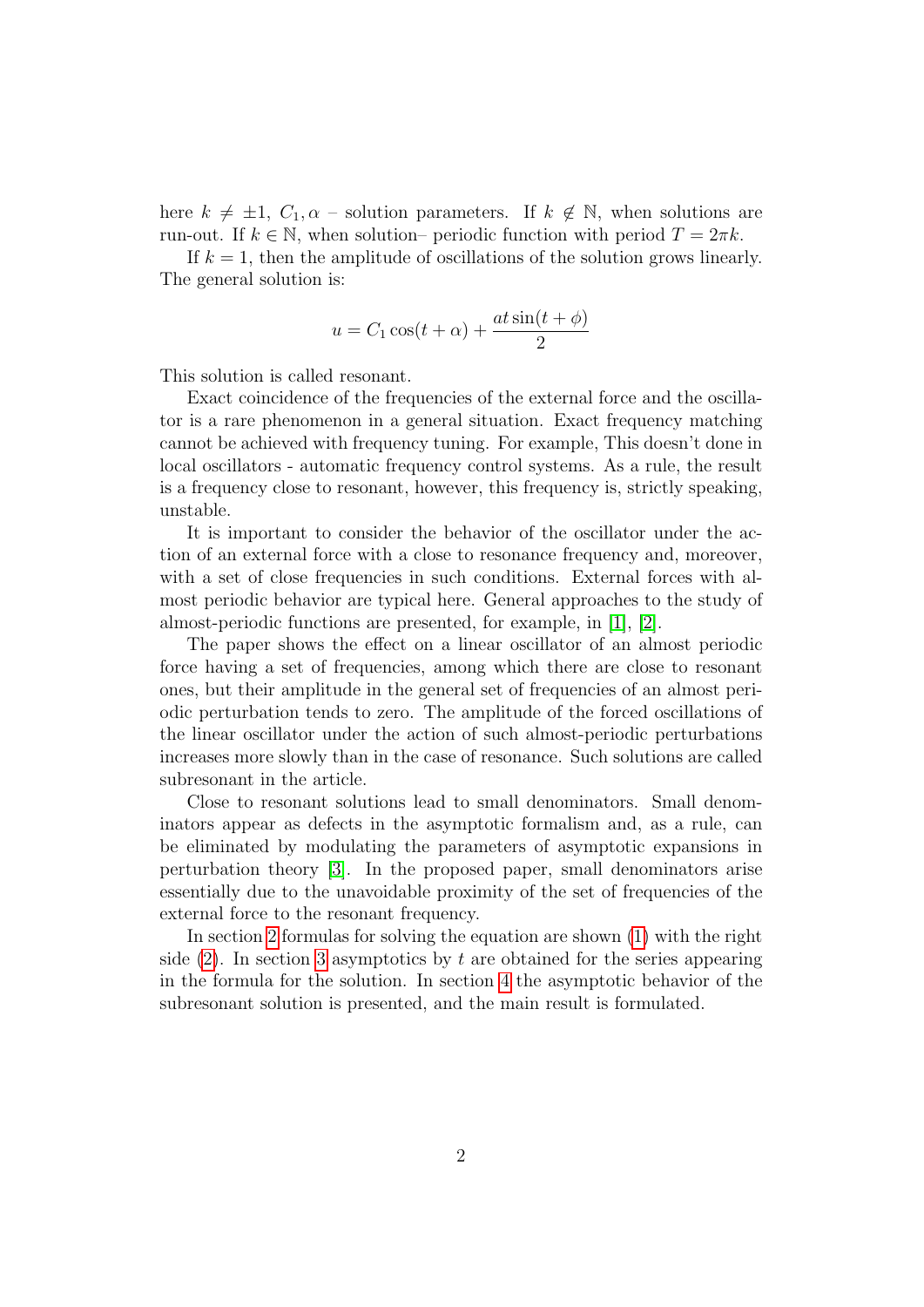here  $k \neq \pm 1$ ,  $C_1, \alpha$  – solution parameters. If  $k \notin \mathbb{N}$ , when solutions are run-out. If  $k \in \mathbb{N}$ , when solution– periodic function with period  $T = 2\pi k$ .

If  $k = 1$ , then the amplitude of oscillations of the solution grows linearly. The general solution is:

$$
u = C_1 \cos(t + \alpha) + \frac{at \sin(t + \phi)}{2}
$$

This solution is called resonant.

Exact coincidence of the frequencies of the external force and the oscillator is a rare phenomenon in a general situation. Exact frequency matching cannot be achieved with frequency tuning. For example, This doesn't done in local oscillators - automatic frequency control systems. As a rule, the result is a frequency close to resonant, however, this frequency is, strictly speaking, unstable.

It is important to consider the behavior of the oscillator under the action of an external force with a close to resonance frequency and, moreover, with a set of close frequencies in such conditions. External forces with almost periodic behavior are typical here. General approaches to the study of almost-periodic functions are presented, for example, in [\[1\]](#page-7-0), [\[2\]](#page-7-1).

The paper shows the effect on a linear oscillator of an almost periodic force having a set of frequencies, among which there are close to resonant ones, but their amplitude in the general set of frequencies of an almost periodic perturbation tends to zero. The amplitude of the forced oscillations of the linear oscillator under the action of such almost-periodic perturbations increases more slowly than in the case of resonance. Such solutions are called subresonant in the article.

Close to resonant solutions lead to small denominators. Small denominators appear as defects in the asymptotic formalism and, as a rule, can be eliminated by modulating the parameters of asymptotic expansions in perturbation theory [\[3\]](#page-7-2). In the proposed paper, small denominators arise essentially due to the unavoidable proximity of the set of frequencies of the external force to the resonant frequency.

In section [2](#page-2-0) formulas for solving the equation are shown [\(1\)](#page-0-0) with the right side  $(2)$ . In section [3](#page-4-0) asymptotics by t are obtained for the series appearing in the formula for the solution. In section [4](#page-6-0) the asymptotic behavior of the subresonant solution is presented, and the main result is formulated.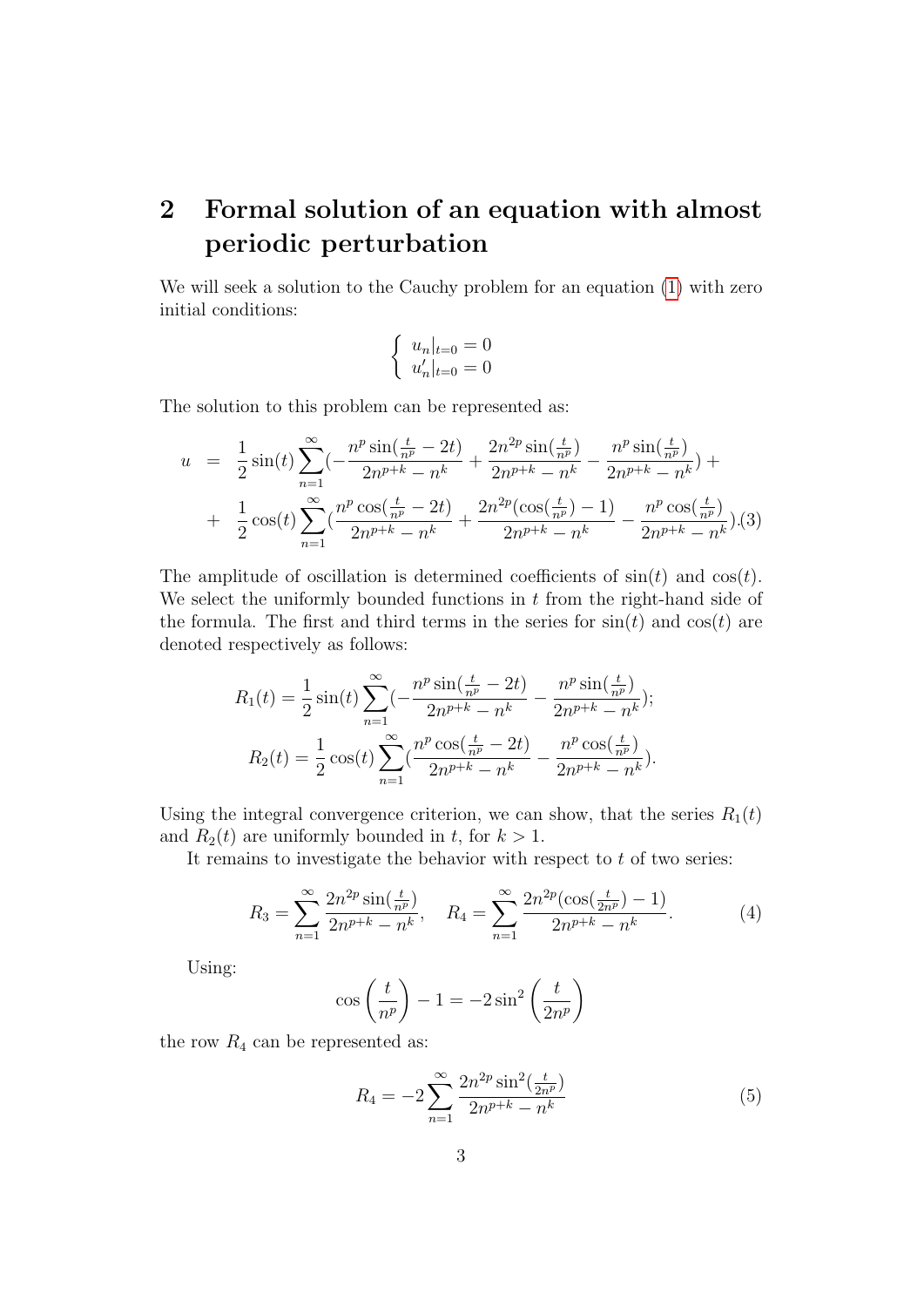## <span id="page-2-0"></span>2 Formal solution of an equation with almost periodic perturbation

We will seek a solution to the Cauchy problem for an equation [\(1\)](#page-0-0) with zero initial conditions:

$$
\begin{cases} u_n|_{t=0} = 0\\ u'_n|_{t=0} = 0 \end{cases}
$$

The solution to this problem can be represented as:

<span id="page-2-1"></span>
$$
u = \frac{1}{2}\sin(t)\sum_{n=1}^{\infty}(-\frac{n^p\sin(\frac{t}{n^p}-2t)}{2n^{p+k}-n^k} + \frac{2n^{2p}\sin(\frac{t}{n^p})}{2n^{p+k}-n^k} - \frac{n^p\sin(\frac{t}{n^p})}{2n^{p+k}-n^k}) +
$$
  
+ 
$$
\frac{1}{2}\cos(t)\sum_{n=1}^{\infty}(\frac{n^p\cos(\frac{t}{n^p}-2t)}{2n^{p+k}-n^k} + \frac{2n^{2p}(\cos(\frac{t}{n^p})-1)}{2n^{p+k}-n^k} - \frac{n^p\cos(\frac{t}{n^p})}{2n^{p+k}-n^k}).(3)
$$

The amplitude of oscillation is determined coefficients of  $sin(t)$  and  $cos(t)$ . We select the uniformly bounded functions in  $t$  from the right-hand side of the formula. The first and third terms in the series for  $sin(t)$  and  $cos(t)$  are denoted respectively as follows:

$$
R_1(t) = \frac{1}{2}\sin(t)\sum_{n=1}^{\infty}(-\frac{n^p\sin(\frac{t}{n^p}-2t)}{2n^{p+k}-n^k} - \frac{n^p\sin(\frac{t}{n^p})}{2n^{p+k}-n^k});
$$
  

$$
R_2(t) = \frac{1}{2}\cos(t)\sum_{n=1}^{\infty}(\frac{n^p\cos(\frac{t}{n^p}-2t)}{2n^{p+k}-n^k} - \frac{n^p\cos(\frac{t}{n^p})}{2n^{p+k}-n^k}).
$$

Using the integral convergence criterion, we can show, that the series  $R_1(t)$ and  $R_2(t)$  are uniformly bounded in t, for  $k > 1$ .

It remains to investigate the behavior with respect to  $t$  of two series:

$$
R_3 = \sum_{n=1}^{\infty} \frac{2n^{2p} \sin(\frac{t}{n^p})}{2n^{p+k} - n^k}, \quad R_4 = \sum_{n=1}^{\infty} \frac{2n^{2p} (\cos(\frac{t}{2n^p}) - 1)}{2n^{p+k} - n^k}.
$$
 (4)

Using:

$$
\cos\left(\frac{t}{n^p}\right) - 1 = -2\sin^2\left(\frac{t}{2n^p}\right)
$$

the row  $R_4$  can be represented as:

$$
R_4 = -2\sum_{n=1}^{\infty} \frac{2n^{2p} \sin^2(\frac{t}{2n^p})}{2n^{p+k} - n^k}
$$
(5)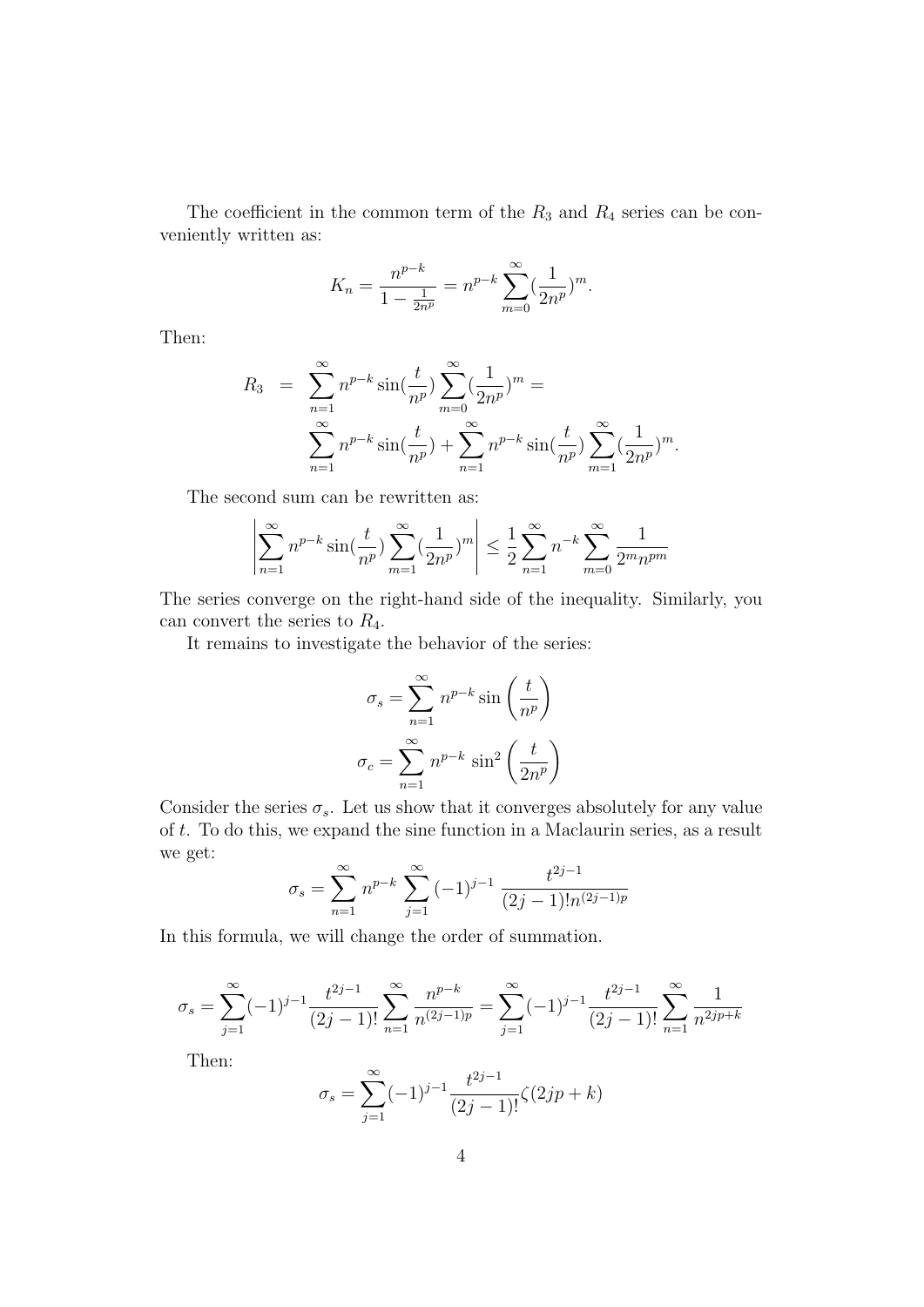The coefficient in the common term of the  $R_3$  and  $R_4$  series can be conveniently written as:

$$
K_n = \frac{n^{p-k}}{1 - \frac{1}{2n^p}} = n^{p-k} \sum_{m=0}^{\infty} (\frac{1}{2n^p})^m.
$$

Then:

$$
R_3 = \sum_{n=1}^{\infty} n^{p-k} \sin(\frac{t}{n^p}) \sum_{m=0}^{\infty} (\frac{1}{2n^p})^m =
$$
  

$$
\sum_{n=1}^{\infty} n^{p-k} \sin(\frac{t}{n^p}) + \sum_{n=1}^{\infty} n^{p-k} \sin(\frac{t}{n^p}) \sum_{m=1}^{\infty} (\frac{1}{2n^p})^m.
$$

The second sum can be rewritten as:

$$
\left| \sum_{n=1}^{\infty} n^{p-k} \sin(\frac{t}{n^p}) \sum_{m=1}^{\infty} (\frac{1}{2n^p})^m \right| \le \frac{1}{2} \sum_{n=1}^{\infty} n^{-k} \sum_{m=0}^{\infty} \frac{1}{2^m n^{pm}}
$$

The series converge on the right-hand side of the inequality. Similarly, you can convert the series to  $R_4$ .

It remains to investigate the behavior of the series:

$$
\sigma_s = \sum_{n=1}^{\infty} n^{p-k} \sin\left(\frac{t}{n^p}\right)
$$

$$
\sigma_c = \sum_{n=1}^{\infty} n^{p-k} \sin^2\left(\frac{t}{2n^p}\right)
$$

Consider the series  $\sigma_s$ . Let us show that it converges absolutely for any value of t. To do this, we expand the sine function in a Maclaurin series, as a result we get:

$$
\sigma_s = \sum_{n=1}^{\infty} n^{p-k} \sum_{j=1}^{\infty} (-1)^{j-1} \frac{t^{2j-1}}{(2j-1)! n^{(2j-1)p}}
$$

In this formula, we will change the order of summation.

$$
\sigma_s = \sum_{j=1}^{\infty} (-1)^{j-1} \frac{t^{2j-1}}{(2j-1)!} \sum_{n=1}^{\infty} \frac{n^{p-k}}{n^{(2j-1)p}} = \sum_{j=1}^{\infty} (-1)^{j-1} \frac{t^{2j-1}}{(2j-1)!} \sum_{n=1}^{\infty} \frac{1}{n^{2jp+k}}
$$

Then:

$$
\sigma_s = \sum_{j=1}^{\infty} (-1)^{j-1} \frac{t^{2j-1}}{(2j-1)!} \zeta(2jp+k)
$$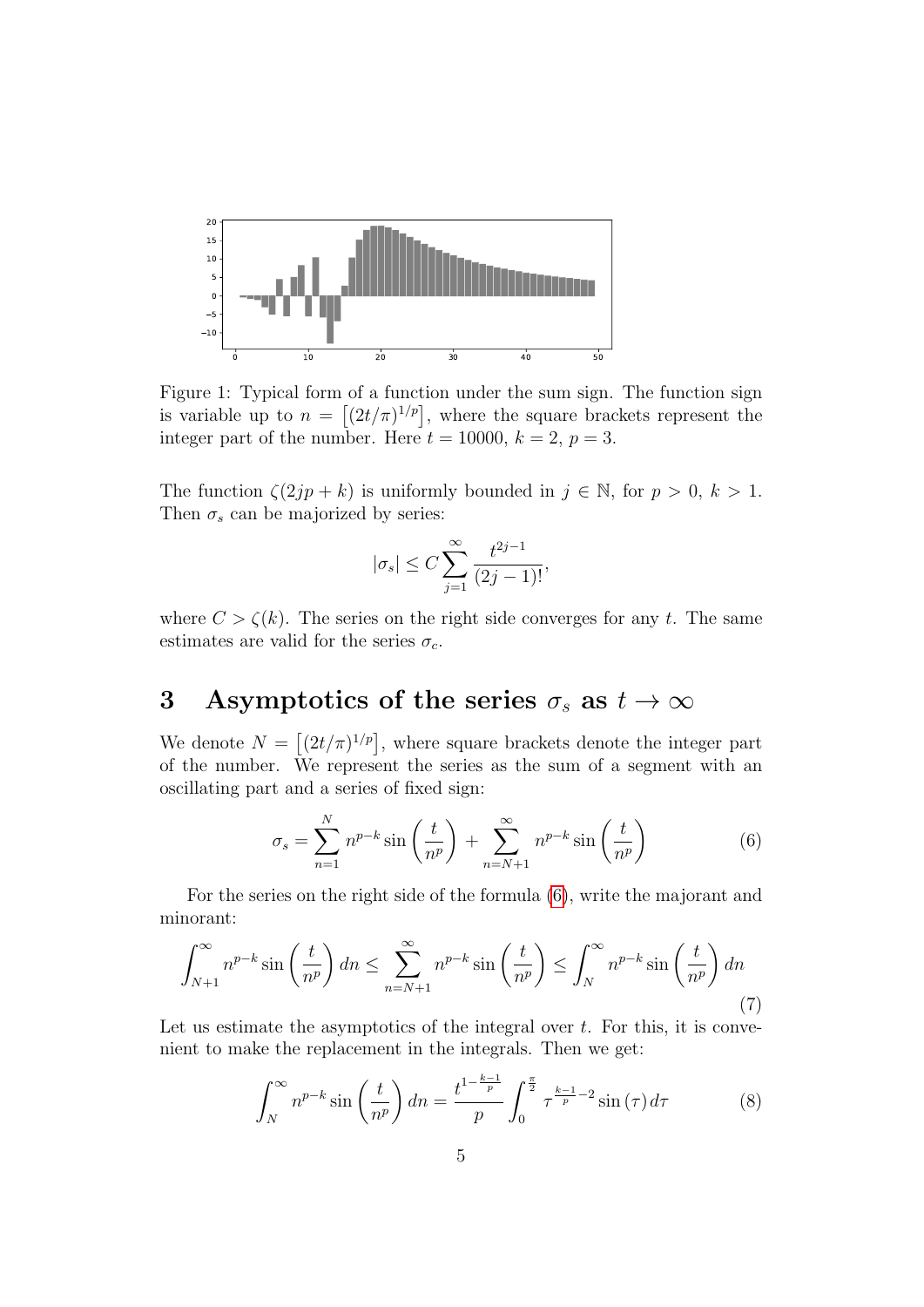

Figure 1: Typical form of a function under the sum sign. The function sign is variable up to  $n = \left[ (2t/\pi)^{1/p} \right]$ , where the square brackets represent the integer part of the number. Here  $t = 10000$ ,  $k = 2$ ,  $p = 3$ .

The function  $\zeta(2jp+k)$  is uniformly bounded in  $j \in \mathbb{N}$ , for  $p > 0$ ,  $k > 1$ . Then  $\sigma_s$  can be majorized by series:

$$
|\sigma_s|\leq C\sum_{j=1}^\infty\frac{t^{2j-1}}{(2j-1)!},
$$

where  $C > \zeta(k)$ . The series on the right side converges for any t. The same estimates are valid for the series  $\sigma_c$ .

### <span id="page-4-0"></span>3 Asymptotics of the series  $\sigma_s$  as  $t \to \infty$

We denote  $N = \left[ (2t/\pi)^{1/p} \right]$ , where square brackets denote the integer part of the number. We represent the series as the sum of a segment with an oscillating part and a series of fixed sign:

<span id="page-4-1"></span>
$$
\sigma_s = \sum_{n=1}^{N} n^{p-k} \sin\left(\frac{t}{n^p}\right) + \sum_{n=N+1}^{\infty} n^{p-k} \sin\left(\frac{t}{n^p}\right) \tag{6}
$$

For the series on the right side of the formula [\(6\)](#page-4-1), write the majorant and minorant:

$$
\int_{N+1}^{\infty} n^{p-k} \sin\left(\frac{t}{n^p}\right) dn \le \sum_{n=N+1}^{\infty} n^{p-k} \sin\left(\frac{t}{n^p}\right) \le \int_{N}^{\infty} n^{p-k} \sin\left(\frac{t}{n^p}\right) dn
$$
\n(7)

Let us estimate the asymptotics of the integral over  $t$ . For this, it is convenient to make the replacement in the integrals. Then we get:

<span id="page-4-2"></span>
$$
\int_{N}^{\infty} n^{p-k} \sin\left(\frac{t}{n^p}\right) dn = \frac{t^{1-\frac{k-1}{p}}}{p} \int_{0}^{\frac{\pi}{2}} \tau^{\frac{k-1}{p}-2} \sin(\tau) d\tau \tag{8}
$$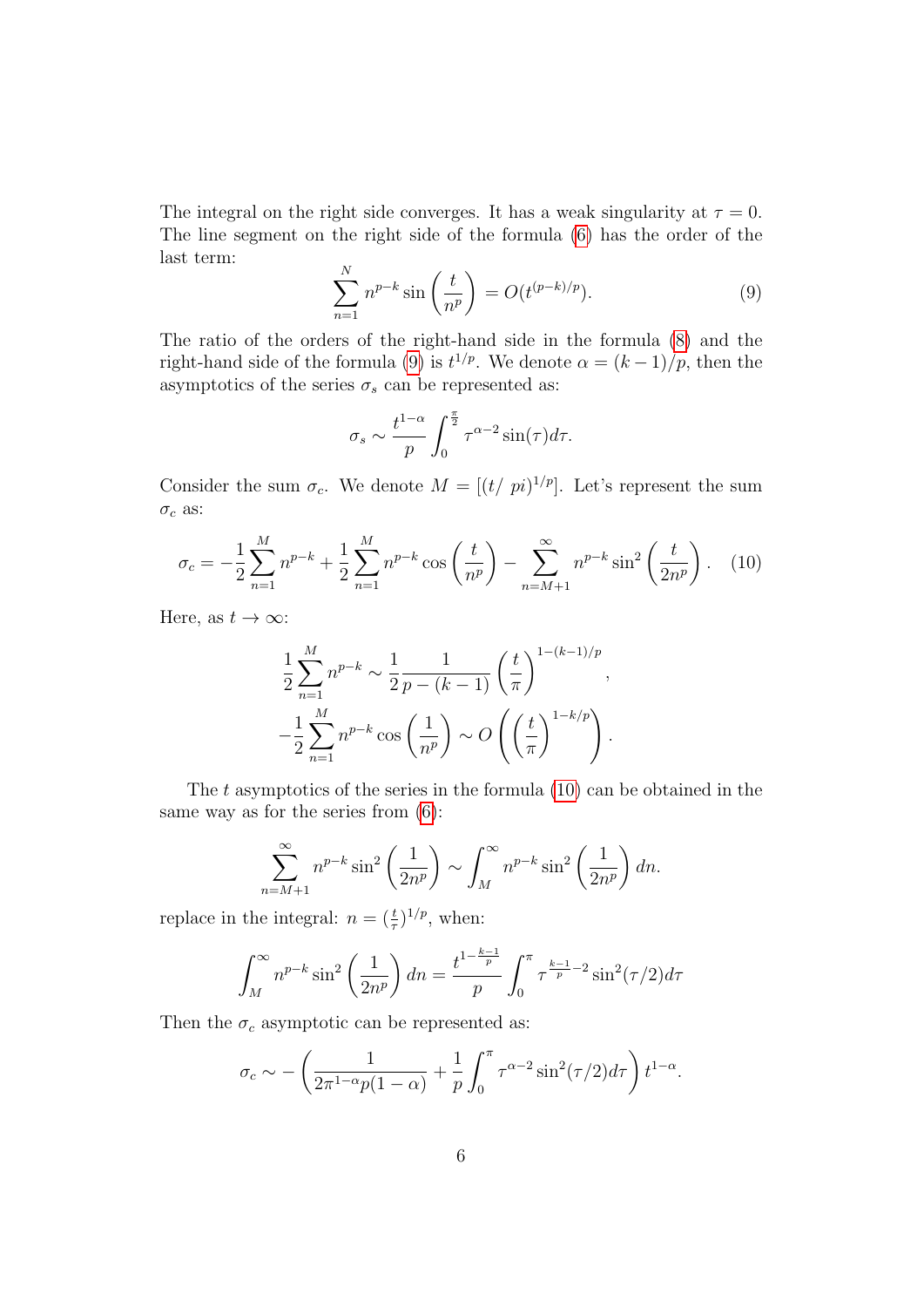The integral on the right side converges. It has a weak singularity at  $\tau = 0$ . The line segment on the right side of the formula [\(6\)](#page-4-1) has the order of the last term:

<span id="page-5-0"></span>
$$
\sum_{n=1}^{N} n^{p-k} \sin\left(\frac{t}{n^p}\right) = O(t^{(p-k)/p}).
$$
\n(9)

The ratio of the orders of the right-hand side in the formula [\(8\)](#page-4-2) and the right-hand side of the formula [\(9\)](#page-5-0) is  $t^{1/p}$ . We denote  $\alpha = (k-1)/p$ , then the asymptotics of the series  $\sigma_s$  can be represented as:

$$
\sigma_s \sim \frac{t^{1-\alpha}}{p} \int_0^{\frac{\pi}{2}} \tau^{\alpha-2} \sin(\tau) d\tau.
$$

Consider the sum  $\sigma_c$ . We denote  $M = \left[ (t / \pi)^{1/p} \right]$ . Let's represent the sum  $\sigma_c$  as:

<span id="page-5-1"></span>
$$
\sigma_c = -\frac{1}{2} \sum_{n=1}^{M} n^{p-k} + \frac{1}{2} \sum_{n=1}^{M} n^{p-k} \cos\left(\frac{t}{n^p}\right) - \sum_{n=M+1}^{\infty} n^{p-k} \sin^2\left(\frac{t}{2n^p}\right). \tag{10}
$$

Here, as  $t \to \infty$ :

$$
\frac{1}{2} \sum_{n=1}^{M} n^{p-k} \sim \frac{1}{2} \frac{1}{p - (k-1)} \left(\frac{t}{\pi}\right)^{1 - (k-1)/p},
$$
  

$$
-\frac{1}{2} \sum_{n=1}^{M} n^{p-k} \cos\left(\frac{1}{n^p}\right) \sim O\left(\left(\frac{t}{\pi}\right)^{1 - k/p}\right).
$$

The  $t$  asymptotics of the series in the formula  $(10)$  can be obtained in the same way as for the series from [\(6\)](#page-4-1):

$$
\sum_{n=M+1}^{\infty} n^{p-k} \sin^2\left(\frac{1}{2n^p}\right) \sim \int_M^{\infty} n^{p-k} \sin^2\left(\frac{1}{2n^p}\right) dn.
$$

replace in the integral:  $n = (\frac{t}{\tau})^{1/p}$ , when:

$$
\int_{M}^{\infty} n^{p-k} \sin^2 \left(\frac{1}{2n^p}\right) dn = \frac{t^{1-\frac{k-1}{p}}}{p} \int_{0}^{\pi} \tau^{\frac{k-1}{p}-2} \sin^2(\tau/2) d\tau
$$

Then the  $\sigma_c$  asymptotic can be represented as:

$$
\sigma_c \sim -\left(\frac{1}{2\pi^{1-\alpha}p(1-\alpha)} + \frac{1}{p}\int_0^{\pi} \tau^{\alpha-2}\sin^2(\tau/2)d\tau\right)t^{1-\alpha}.
$$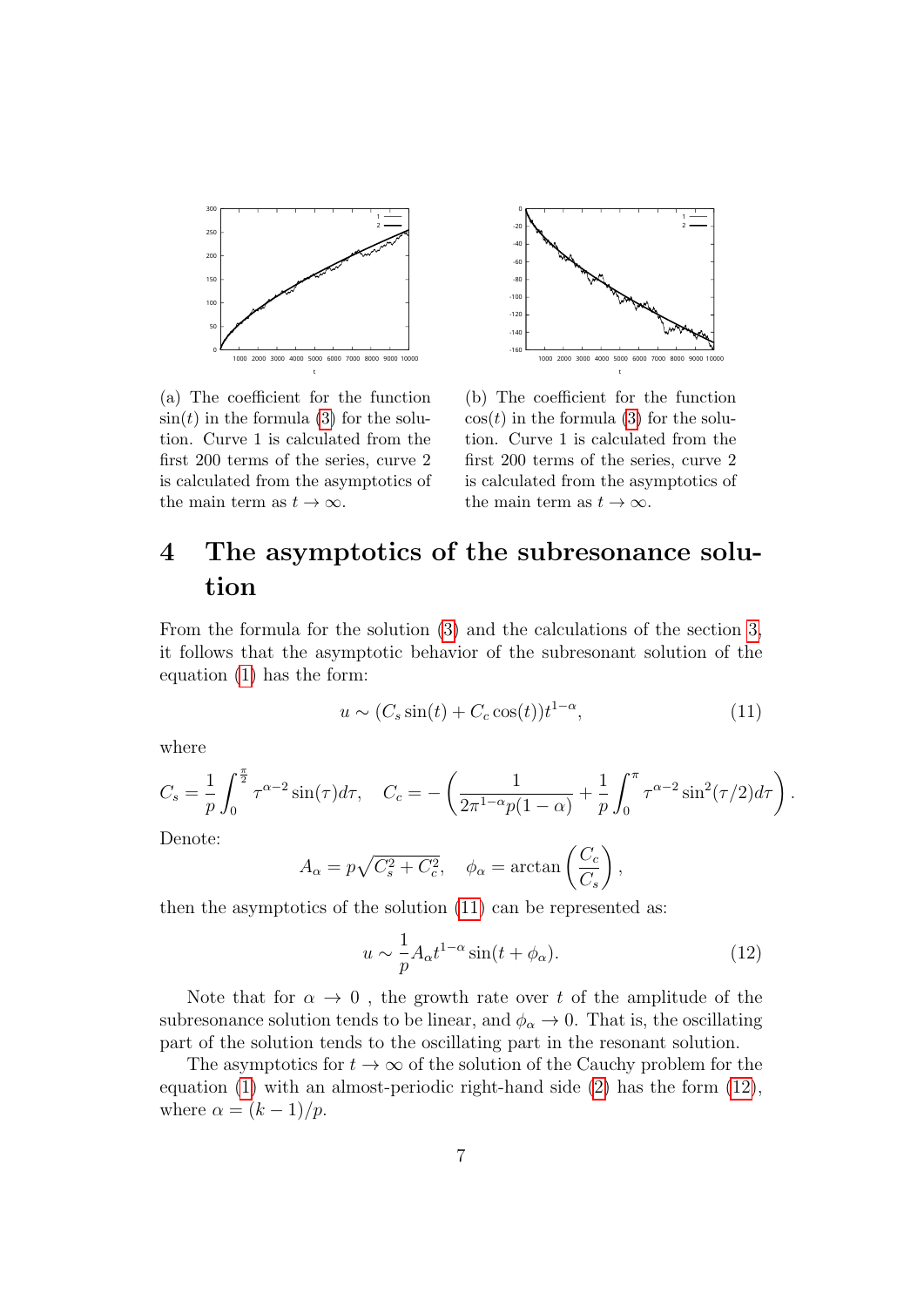

1 2 -160  $-14$ -120 -100 -80 -60 -40 -20 0 1000 2000 3000 4000 5000 6000 7000 8000 9000 10000

t

(a) The coefficient for the function  $sin(t)$  in the formula [\(3\)](#page-2-1) for the solution. Curve 1 is calculated from the first 200 terms of the series, curve 2 is calculated from the asymptotics of the main term as  $t \to \infty$ .

(b) The coefficient for the function  $\cos(t)$  in the formula [\(3\)](#page-2-1) for the solution. Curve 1 is calculated from the first 200 terms of the series, curve 2 is calculated from the asymptotics of the main term as  $t \to \infty$ .

## <span id="page-6-0"></span>4 The asymptotics of the subresonance solution

From the formula for the solution [\(3\)](#page-2-1) and the calculations of the section [3,](#page-4-0) it follows that the asymptotic behavior of the subresonant solution of the equation [\(1\)](#page-0-0) has the form:

<span id="page-6-1"></span>
$$
u \sim (C_s \sin(t) + C_c \cos(t)) t^{1-\alpha}, \tag{11}
$$

where

$$
C_s = \frac{1}{p} \int_0^{\frac{\pi}{2}} \tau^{\alpha-2} \sin(\tau) d\tau, \quad C_c = -\left(\frac{1}{2\pi^{1-\alpha}p(1-\alpha)} + \frac{1}{p} \int_0^{\pi} \tau^{\alpha-2} \sin^2(\tau/2) d\tau\right).
$$

Denote:

$$
A_{\alpha} = p\sqrt{C_s^2 + C_c^2}, \quad \phi_{\alpha} = \arctan\left(\frac{C_c}{C_s}\right),
$$

then the asymptotics of the solution [\(11\)](#page-6-1) can be represented as:

<span id="page-6-2"></span>
$$
u \sim \frac{1}{p} A_{\alpha} t^{1-\alpha} \sin(t + \phi_{\alpha}).
$$
 (12)

Note that for  $\alpha \to 0$ , the growth rate over t of the amplitude of the subresonance solution tends to be linear, and  $\phi_{\alpha} \to 0$ . That is, the oscillating part of the solution tends to the oscillating part in the resonant solution.

The asymptotics for  $t \to \infty$  of the solution of the Cauchy problem for the equation [\(1\)](#page-0-0) with an almost-periodic right-hand side [\(2\)](#page-0-1) has the form [\(12\)](#page-6-2), where  $\alpha = (k-1)/p$ .